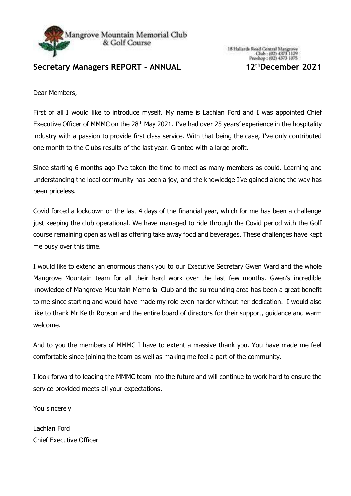

## **Secretary Managers REPORT - ANNUAL 12thDecember 2021**

Dear Members,

First of all I would like to introduce myself. My name is Lachlan Ford and I was appointed Chief Executive Officer of MMMC on the 28<sup>th</sup> May 2021. I've had over 25 years' experience in the hospitality industry with a passion to provide first class service. With that being the case, I've only contributed one month to the Clubs results of the last year. Granted with a large profit.

Since starting 6 months ago I've taken the time to meet as many members as could. Learning and understanding the local community has been a joy, and the knowledge I've gained along the way has been priceless.

Covid forced a lockdown on the last 4 days of the financial year, which for me has been a challenge just keeping the club operational. We have managed to ride through the Covid period with the Golf course remaining open as well as offering take away food and beverages. These challenges have kept me busy over this time.

I would like to extend an enormous thank you to our Executive Secretary Gwen Ward and the whole Mangrove Mountain team for all their hard work over the last few months. Gwen's incredible knowledge of Mangrove Mountain Memorial Club and the surrounding area has been a great benefit to me since starting and would have made my role even harder without her dedication. I would also like to thank Mr Keith Robson and the entire board of directors for their support, guidance and warm welcome.

And to you the members of MMMC I have to extent a massive thank you. You have made me feel comfortable since joining the team as well as making me feel a part of the community.

I look forward to leading the MMMC team into the future and will continue to work hard to ensure the service provided meets all your expectations.

You sincerely

Lachlan Ford Chief Executive Officer